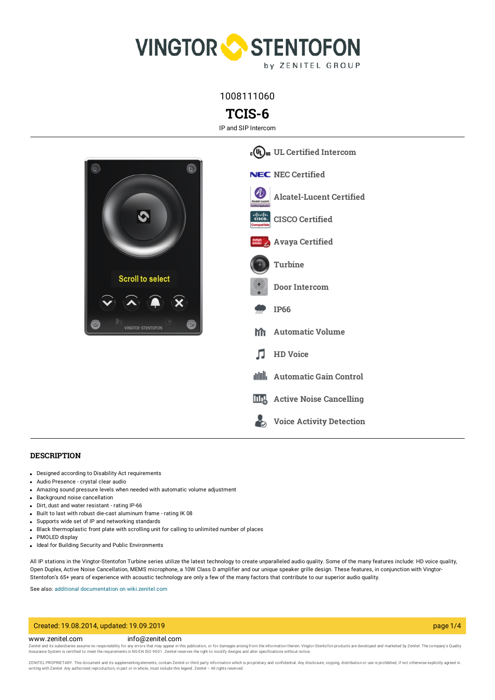

1008111060

# **TCIS-6**

IP and SIP Intercom



#### **DESCRIPTION**

- Designed according to Disability Act requirements
- Audio Presence crystal clear audio
- Amazing sound pressure levels when needed with automatic volume adjustment
- Background noise cancellation
- Dirt, dust and water resistant rating IP-66
- Built to last with robust die-cast aluminum frame rating IK 08
- Supports wide set of IP and networking standards
- Black thermoplastic front plate with scrolling unit for calling to unlimited number of places
- PMOLED display
- Ideal for Building Security and Public Environments

All IP stations in the Vingtor-Stentofon Turbine series utilize the latest technology to create unparalleled audio quality. Some of the many features include: HD voice quality, Open Duplex, Active Noise Cancellation, MEMS microphone, a 10W Class D amplifier and our unique speaker grille design. These features, in conjunction with Vingtor-Stentofon's 65+ years of experience with acoustic technology are only a few of the many factors that contribute to our superior audio quality.

See also: additional documentation on wiki zenitel.com

## Created: 19.08.2014, updated: 19.09.2019 page 1/4

#### www.zenitel.com info@zenitel.com

Zenitel and its subsidiaries assume no responsibility for any errors that may appear in this publication, or for damages arising from the information therein. Vingtor-Stentofon products are developed and marketed by Zenite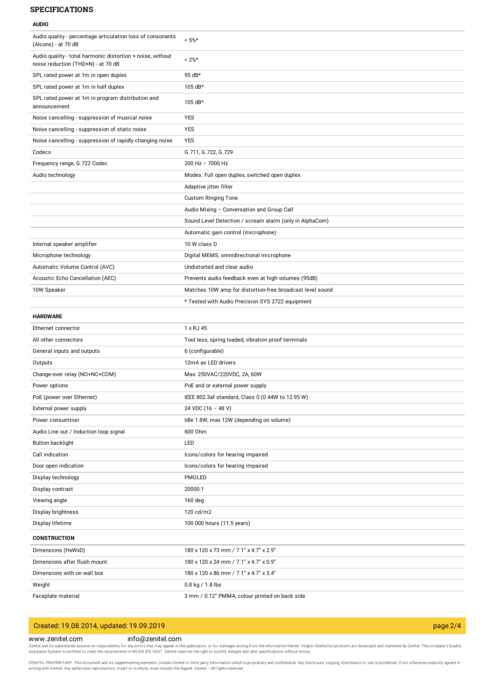## **SPECIFICATIONS**

#### **AUDIO**

| Audio quality - percentage articulation loss of consonants<br>(Alcons) - at 70 dB                | $< 5\%$ *                                                 |
|--------------------------------------------------------------------------------------------------|-----------------------------------------------------------|
| Audio quality - total harmonic distortion + noise, without<br>noise reduction (THD+N) - at 70 dB | $< 2\%$ *                                                 |
| SPL rated power at 1m in open duplex                                                             | 95 dB*                                                    |
| SPL rated power at 1m in half duplex                                                             | 105 dB*                                                   |
| SPL rated power at 1m in program distribution and<br>announcement                                | 105 dB*                                                   |
| Noise cancelling - suppression of musical noise                                                  | <b>YES</b>                                                |
| Noise cancelling - suppression of static noise                                                   | YES                                                       |
| Noise cancelling - suppression of rapidly changing noise                                         | <b>YES</b>                                                |
| Codecs                                                                                           | G.711, G.722, G.729                                       |
| Frequency range, G.722 Codec                                                                     | $200$ Hz $- 7000$ Hz                                      |
| Audio technology                                                                                 | Modes: Full open duplex, switched open duplex             |
|                                                                                                  | Adaptive jitter filter                                    |
|                                                                                                  | <b>Custom Ringing Tone</b>                                |
|                                                                                                  | Audio Mixing - Conversation and Group Call                |
|                                                                                                  | Sound Level Detection / scream alarm (only in AlphaCom)   |
|                                                                                                  | Automatic gain control (microphone)                       |
| Internal speaker amplifier                                                                       | 10 W class D                                              |
| Microphone technology                                                                            | Digital MEMS, omnidirectional microphone                  |
| Automatic Volume Control (AVC)                                                                   | Undistorted and clear audio                               |
| Acoustic Echo Cancellation (AEC)                                                                 | Prevents audio feedback even at high volumes (95dB)       |
| 10W Speaker                                                                                      | Matches 10W amp for distortion-free broadcast level sound |
|                                                                                                  | * Tested with Audio Precision SYS 2722 equipment          |
| <b>HARDWARE</b>                                                                                  |                                                           |
| Ethernet connector                                                                               | 1 x RJ 45                                                 |
| All other connectors                                                                             | Tool less, spring loaded, vibration proof terminals       |
| General inputs and outputs                                                                       | 6 (configurable)                                          |
| Outputs                                                                                          | 12mA as LED drivers                                       |
| Change-over relay (NO+NC+COM)                                                                    | Max: 250VAC/220VDC, 2A, 60W                               |
| Power options                                                                                    | PoE and or external power supply                          |
| PoE (power over Ethernet)                                                                        | IEEE 802.3af standard, Class 0 (0.44W to 12.95 W)         |
| External power supply                                                                            | 24 VDC (16 - 48 V)                                        |
| Power consumtion                                                                                 | Idle 1.8W, max 12W (depending on volume)                  |
| Audio Line out / Induction loop signal                                                           | 600 Ohm                                                   |
| Button backlight                                                                                 | LED                                                       |
| Call indication                                                                                  | Icons/colors for hearing impaired                         |
| Door open indication                                                                             | Icons/colors for hearing impaired                         |
| Display technology                                                                               | PMOLED                                                    |
| Display contrast                                                                                 | 20000:1                                                   |
| Viewing angle                                                                                    | $160$ deg                                                 |
| Display brightness                                                                               | 120 cd/m2                                                 |
| Display lifetime                                                                                 | 100 000 hours (11.5 years)                                |
| <b>CONSTRUCTION</b>                                                                              |                                                           |
| Dimensions (HxWxD)                                                                               | 180 x 120 x 73 mm / 7.1" x 4.7" x 2.9"                    |
| Dimensions after flush mount                                                                     | 180 x 120 x 24 mm / 7.1" x 4.7" x 0.9"                    |
| Dimensions with on wall box                                                                      | 180 x 120 x 86 mm / 7.1" x 4.7" x 3.4"                    |
| Weight                                                                                           | 0.8 kg / 1.8 lbs                                          |
| Faceplate material                                                                               | 3 mm / 0.12" PMMA, colour printed on back side            |

## Created: 19.08.2014, updated: 19.09.2019 page 2/4

### www.zenitel.com info@zenitel.com

Zenitel and its subsidiaries assume no responsibility for any errors that may appear in this publication, or for damages arising from the information therein. Vingtor-Stentofon products are developed and marketed by Zenite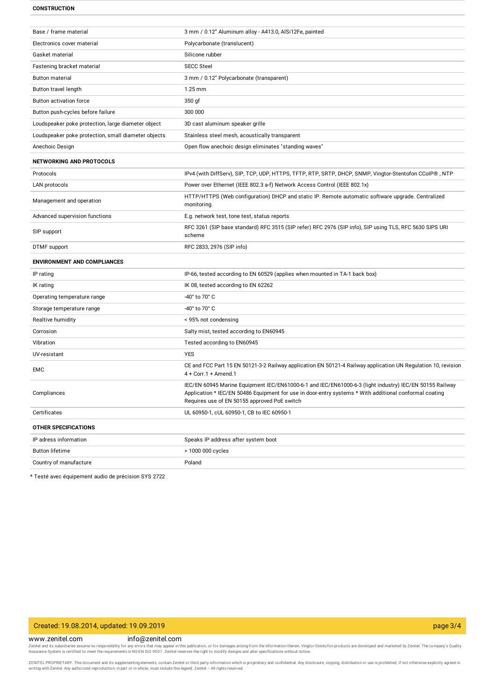#### **CONSTRUCTION**

| Base / frame material                               | 3 mm / 0.12" Aluminum alloy - A413.0, AlSi12Fe, painted                                                                                                                                                                                                           |
|-----------------------------------------------------|-------------------------------------------------------------------------------------------------------------------------------------------------------------------------------------------------------------------------------------------------------------------|
| Electronics cover material                          | Polycarbonate (translucent)                                                                                                                                                                                                                                       |
| Gasket material                                     | Silicone rubber                                                                                                                                                                                                                                                   |
| Fastening bracket material                          | <b>SECC Steel</b>                                                                                                                                                                                                                                                 |
| <b>Button material</b>                              | 3 mm / 0.12" Polycarbonate (transparent)                                                                                                                                                                                                                          |
| Button travel length                                | $1.25$ mm                                                                                                                                                                                                                                                         |
| Button activation force                             | 350 gf                                                                                                                                                                                                                                                            |
| Button push-cycles before failure                   | 300 000                                                                                                                                                                                                                                                           |
| Loudspeaker poke protection, large diameter object  | 3D cast aluminum speaker grille                                                                                                                                                                                                                                   |
| Loudspeaker poke protection, small diameter objects | Stainless steel mesh, acoustically transparent                                                                                                                                                                                                                    |
| Anechoic Design                                     | Open flow anechoic design eliminates "standing waves"                                                                                                                                                                                                             |
| <b>NETWORKING AND PROTOCOLS</b>                     |                                                                                                                                                                                                                                                                   |
| Protocols                                           | IPv4 (with DiffServ), SIP, TCP, UDP, HTTPS, TFTP, RTP, SRTP, DHCP, SNMP, Vingtor-Stentofon CCoIP®, NTP                                                                                                                                                            |
| LAN protocols                                       | Power over Ethernet (IEEE 802.3 a-f) Network Access Control (IEEE 802.1x)                                                                                                                                                                                         |
| Management and operation                            | HTTP/HTTPS (Web configuration) DHCP and static IP. Remote automatic software upgrade. Centralized<br>monitoring.                                                                                                                                                  |
| Advanced supervision functions                      | E.g. network test, tone test, status reports                                                                                                                                                                                                                      |
| SIP support                                         | RFC 3261 (SIP base standard) RFC 3515 (SIP refer) RFC 2976 (SIP info), SIP using TLS, RFC 5630 SIPS URI<br>scheme                                                                                                                                                 |
| DTMF support                                        | RFC 2833, 2976 (SIP info)                                                                                                                                                                                                                                         |
| <b>ENVIRONMENT AND COMPLIANCES</b>                  |                                                                                                                                                                                                                                                                   |
| IP rating                                           | IP-66, tested according to EN 60529 (applies when mounted in TA-1 back box)                                                                                                                                                                                       |
| IK rating                                           | IK 08, tested according to EN 62262                                                                                                                                                                                                                               |
| Operating temperature range                         | -40° to 70° C                                                                                                                                                                                                                                                     |
| Storage temperature range                           | -40° to 70° C                                                                                                                                                                                                                                                     |
| Realtive humidity                                   | < 95% not condensing                                                                                                                                                                                                                                              |
| Corrosion                                           | Salty mist, tested according to EN60945                                                                                                                                                                                                                           |
| Vibration                                           | Tested according to EN60945                                                                                                                                                                                                                                       |
| UV-resistant                                        | <b>YES</b>                                                                                                                                                                                                                                                        |
| EMC                                                 | CE and FCC Part 15 EN 50121-3-2 Railway application EN 50121-4 Railway application UN Regulation 10, revision<br>$4 + Corr.1 + A$ mend.1                                                                                                                          |
| Compliances                                         | IEC/EN 60945 Marine Equipment IEC/EN61000-6-1 and IEC/EN61000-6-3 (light industry) IEC/EN 50155 Railway<br>Application * IEC/EN 50486 Equipment for use in door-entry systems * With additional conformal coating<br>Requires use of EN 50155 approved PoE switch |
| Certificates                                        | UL 60950-1, cUL 60950-1, CB to IEC 60950-1                                                                                                                                                                                                                        |
| <b>OTHER SPECIFICATIONS</b>                         |                                                                                                                                                                                                                                                                   |
| IP adress information                               | Speaks IP address after system boot                                                                                                                                                                                                                               |
| <b>Button lifetime</b>                              | > 1000 000 cycles                                                                                                                                                                                                                                                 |
| Country of manufacture                              | Poland                                                                                                                                                                                                                                                            |
|                                                     |                                                                                                                                                                                                                                                                   |

\* Testé avec équipement audio de précision SYS 2722

## Created: 19.08.2014, updated: 19.09.2019 page 3/4

#### www.zenitel.com info@zenitel.com

Zenitel and its subsidiaries assume no responsibility for any errors that may appear in this publication, or for damages arising from the information therein. Vingtor-Stentofon products are developed and marketed by Zenite